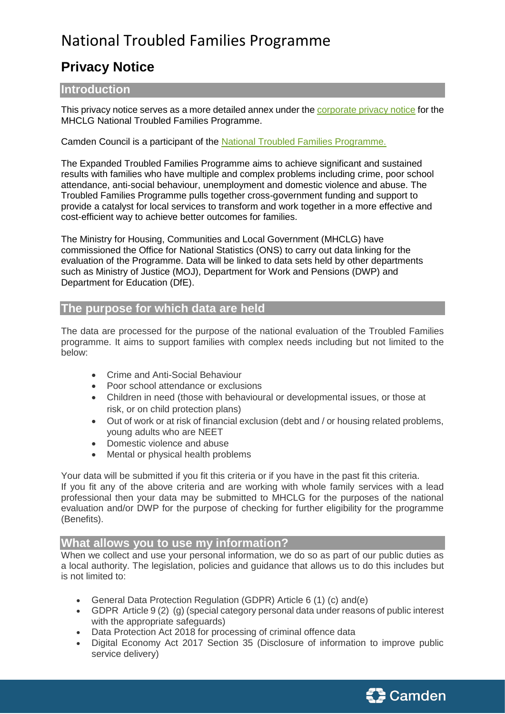# National Troubled Families Programme

## **Privacy Notice**

## **Introduction**

This privacy notice serves as a more detailed annex under th[e corporate privacy notice](https://www.camden.gov.uk/data-protection-privacy-and-cookies#yedw) for the MHCLG National Troubled Families Programme.

Camden Council is a participant of the [National Troubled Families Programme.](https://www.gov.uk/government/publications/national-evaluation-of-the-troubled-families-programme-2015-to-2020-findings)

The Expanded Troubled Families Programme aims to achieve significant and sustained results with families who have multiple and complex problems including crime, poor school attendance, anti-social behaviour, unemployment and domestic violence and abuse. The Troubled Families Programme pulls together cross-government funding and support to provide a catalyst for local services to transform and work together in a more effective and cost-efficient way to achieve better outcomes for families.

The Ministry for Housing, Communities and Local Government (MHCLG) have commissioned the Office for National Statistics (ONS) to carry out data linking for the evaluation of the Programme. Data will be linked to data sets held by other departments such as Ministry of Justice (MOJ), Department for Work and Pensions (DWP) and Department for Education (DfE).

## **The purpose for which data are held**

The data are processed for the purpose of the national evaluation of the Troubled Families programme. It aims to support families with complex needs including but not limited to the below:

- Crime and Anti-Social Behaviour
- Poor school attendance or exclusions
- Children in need (those with behavioural or developmental issues, or those at risk, or on child protection plans)
- Out of work or at risk of financial exclusion (debt and / or housing related problems, young adults who are NEET
- Domestic violence and abuse
- Mental or physical health problems

Your data will be submitted if you fit this criteria or if you have in the past fit this criteria.

If you fit any of the above criteria and are working with whole family services with a lead professional then your data may be submitted to MHCLG for the purposes of the national evaluation and/or DWP for the purpose of checking for further eligibility for the programme (Benefits).

### **What allows you to use my information?**

When we collect and use your personal information, we do so as part of our public duties as a local authority. The legislation, policies and guidance that allows us to do this includes but is not limited to:

- General Data Protection Regulation (GDPR) Article 6 (1) (c) and(e)
- GDPR Article 9 (2) (g) (special category personal data under reasons of public interest with the appropriate safeguards)
- Data Protection Act 2018 for processing of criminal offence data
- Digital Economy Act 2017 Section 35 (Disclosure of information to improve public service delivery)

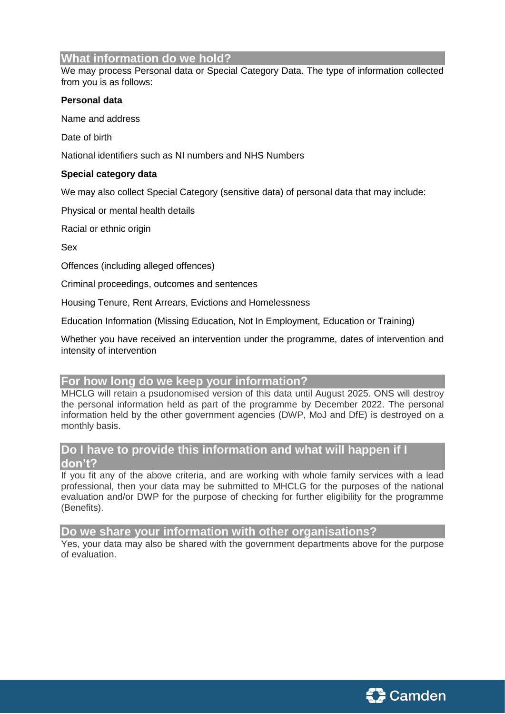## **What information do we hold?**

We may process Personal data or Special Category Data. The type of information collected from you is as follows:

#### **Personal data**

Name and address

Date of birth

National identifiers such as NI numbers and NHS Numbers

#### **Special category data**

We may also collect Special Category (sensitive data) of personal data that may include:

Physical or mental health details

Racial or ethnic origin

Sex

Offences (including alleged offences)

Criminal proceedings, outcomes and sentences

Housing Tenure, Rent Arrears, Evictions and Homelessness

Education Information (Missing Education, Not In Employment, Education or Training)

Whether you have received an intervention under the programme, dates of intervention and intensity of intervention

#### **For how long do we keep your information?**

MHCLG will retain a psudonomised version of this data until August 2025. ONS will destroy the personal information held as part of the programme by December 2022. The personal information held by the other government agencies (DWP, MoJ and DfE) is destroyed on a monthly basis.

## **Do I have to provide this information and what will happen if I don't?**

If you fit any of the above criteria, and are working with whole family services with a lead professional, then your data may be submitted to MHCLG for the purposes of the national evaluation and/or DWP for the purpose of checking for further eligibility for the programme (Benefits).

**Do we share your information with other organisations?**

Yes, your data may also be shared with the government departments above for the purpose of evaluation.